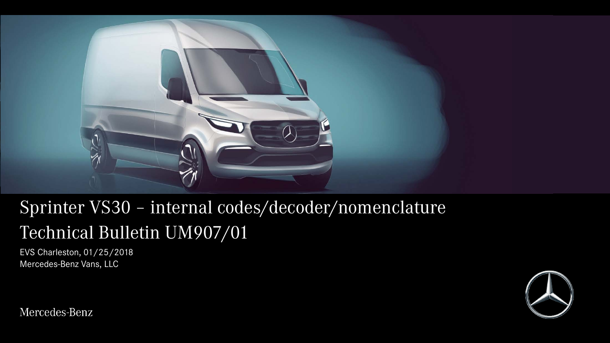

## Sprinter VS30 – internal codes/decoder/nomenclature Technical Bulletin UM907/01

EVS Charleston, 01/25/2018 Mercedes-Benz Vans, LLC



Mercedes-Benz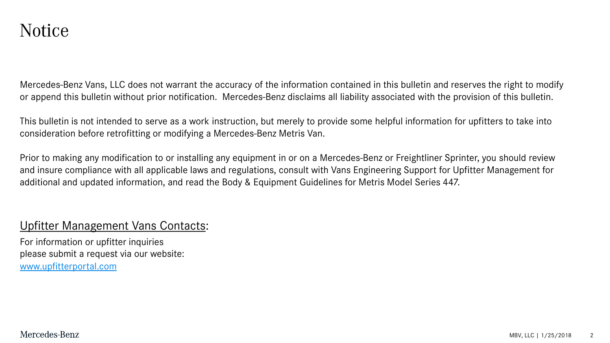Mercedes-Benz Vans, LLC does not warrant the accuracy of the information contained in this bulletin and reserves the right to modify or append this bulletin without prior notification. Mercedes-Benz disclaims all liability associated with the provision of this bulletin.

This bulletin is not intended to serve as a work instruction, but merely to provide some helpful information for upfitters to take into consideration before retrofitting or modifying a Mercedes-Benz Metris Van.

Prior to making any modification to or installing any equipment in or on a Mercedes-Benz or Freightliner Sprinter, you should review and insure compliance with all applicable laws and regulations, consult with Vans Engineering Support for Upfitter Management for additional and updated information, and read the Body & Equipment Guidelines for Metris Model Series 447.

## Upfitter Management Vans Contacts:

For information or upfitter inquiries please submit a request via our website: [www.upfitterportal.com](http://www.upfitterportalcom/)